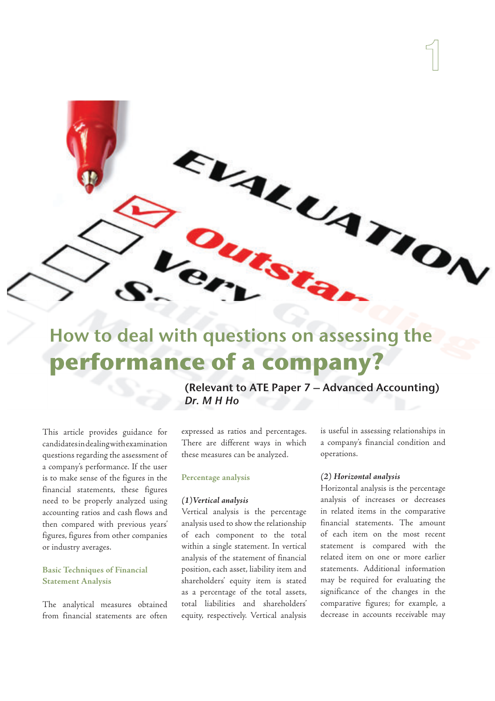

# How to deal with questions on assessing the **performance of a company?**

This article provides guidance for candidates in dealing with examination questions regarding the assessment of a company's performance. If the user is to make sense of the figures in the financial statements, these figures need to be properly analyzed using accounting ratios and cash flows and then compared with previous years' figures, figures from other companies or industry averages.

## **Basic Techniques of Financial Statement Analysis**

The analytical measures obtained from financial statements are often (Relevant to ATE Paper 7 – Advanced Accounting) Dr. M H Ho

expressed as ratios and percentages. There are different ways in which these measures can be analyzed.

## **Percentage analysis**

#### **(1)Vertical analysis**

Vertical analysis is the percentage analysis used to show the relationship of each component to the total within a single statement. In vertical analysis of the statement of financial position, each asset, liability item and shareholders' equity item is stated as a percentage of the total assets, total liabilities and shareholders' equity, respectively. Vertical analysis

is useful in assessing relationships in a company's financial condition and operations.

#### **(2) Horizontal analysis**

Horizontal analysis is the percentage analysis of increases or decreases in related items in the comparative financial statements. The amount of each item on the most recent statement is compared with the related item on one or more earlier statements. Additional information may be required for evaluating the significance of the changes in the comparative figures; for example, a decrease in accounts receivable may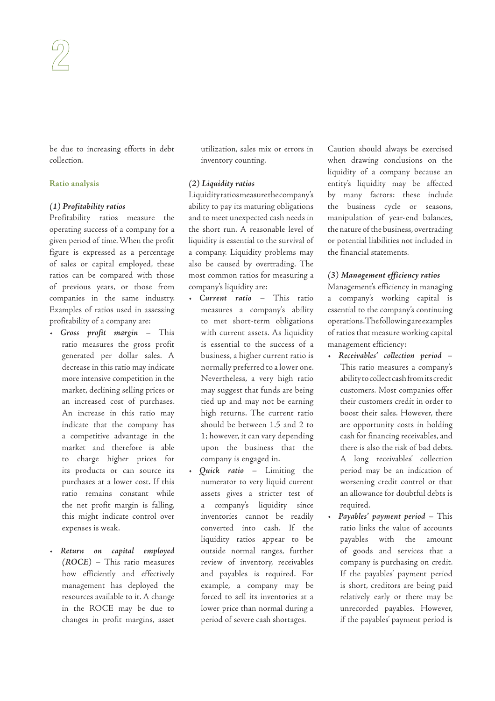be due to increasing efforts in debt collection.

## **Ratio analysis**

### **(1) Profitability ratios**

Profitability ratios measure the operating success of a company for a given period of time. When the profit figure is expressed as a percentage of sales or capital employed, these ratios can be compared with those of previous years, or those from companies in the same industry. Examples of ratios used in assessing profitability of a company are:

- **Gross profit margin** This ratio measures the gross profit generated per dollar sales. A decrease in this ratio may indicate more intensive competition in the market, declining selling prices or an increased cost of purchases. An increase in this ratio may indicate that the company has a competitive advantage in the market and therefore is able to charge higher prices for its products or can source its purchases at a lower cost. If this ratio remains constant while the net profit margin is falling, this might indicate control over expenses is weak.
- **Return on capital employed (ROCE)** – This ratio measures how efficiently and effectively management has deployed the resources available to it. A change in the ROCE may be due to changes in profit margins, asset

utilization, sales mix or errors in inventory counting.

## **(2) Liquidity ratios**

Liquidity ratios measure the company's ability to pay its maturing obligations and to meet unexpected cash needs in the short run. A reasonable level of liquidity is essential to the survival of a company. Liquidity problems may also be caused by overtrading. The most common ratios for measuring a company's liquidity are:

- **Current ratio** This ratio measures a company's ability to met short-term obligations with current assets. As liquidity is essential to the success of a business, a higher current ratio is normally preferred to a lower one. Nevertheless, a very high ratio may suggest that funds are being tied up and may not be earning high returns. The current ratio should be between 1.5 and 2 to 1; however, it can vary depending upon the business that the company is engaged in.
- **Quick ratio** Limiting the numerator to very liquid current assets gives a stricter test of a company's liquidity since inventories cannot be readily converted into cash. If the liquidity ratios appear to be outside normal ranges, further review of inventory, receivables and payables is required. For example, a company may be forced to sell its inventories at a lower price than normal during a period of severe cash shortages.

Caution should always be exercised when drawing conclusions on the liquidity of a company because an entity's liquidity may be affected by many factors: these include the business cycle or seasons, manipulation of year-end balances, the nature of the business, overtrading or potential liabilities not included in the financial statements.

### **(3) Management efficiency ratios**

Management's efficiency in managing company's working capital is essential to the company's continuing operations. The following are examples of ratios that measure working capital management efficiency:

- **Receivables' collection period** This ratio measures a company's ability to collect cash from its credit customers. Most companies offer their customers credit in order to boost their sales. However, there are opportunity costs in holding cash for financing receivables, and there is also the risk of bad debts. A long receivables' collection period may be an indication of worsening credit control or that an allowance for doubtful debts is required.
- **Payables' payment period** This ratio links the value of accounts payables with the amount of goods and services that a company is purchasing on credit. If the payables' payment period is short, creditors are being paid relatively early or there may be unrecorded payables. However, if the payables' payment period is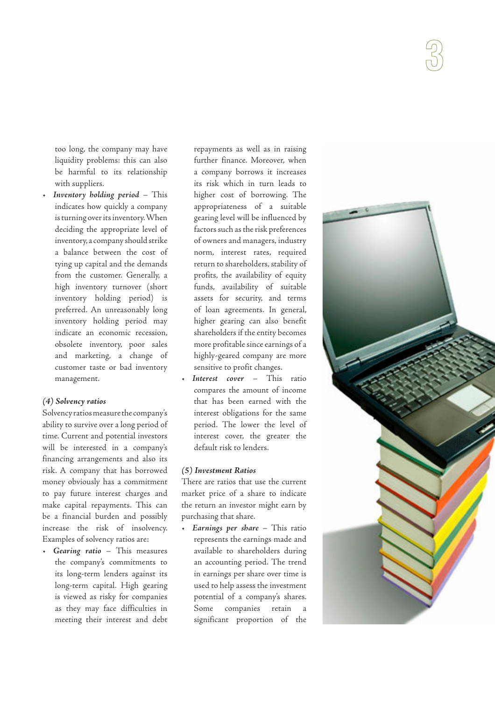too long, the company may have liquidity problems: this can also be harmful to its relationship with suppliers.

• **Inventory holding period** – This indicates how quickly a company is turning over its inventory. When deciding the appropriate level of inventory, a company should strike a balance between the cost of tying up capital and the demands from the customer. Generally, a high inventory turnover (short inventory holding period) is preferred. An unreasonably long inventory holding period may indicate an economic recession, obsolete inventory, poor sales and marketing, a change of customer taste or bad inventory management.

### **(4) Solvency ratios**

Solvency ratios measure the company's ability to survive over a long period of time. Current and potential investors will be interested in a company's financing arrangements and also its risk. A company that has borrowed money obviously has a commitment to pay future interest charges and make capital repayments. This can be a financial burden and possibly increase the risk of insolvency. Examples of solvency ratios are:

• **Gearing ratio** – This measures the company's commitments to its long-term lenders against its long-term capital. High gearing is viewed as risky for companies as they may face difficulties in meeting their interest and debt

repayments as well as in raising further finance. Moreover, when a company borrows it increases its risk which in turn leads to higher cost of borrowing. The appropriateness of a suitable gearing level will be influenced by factors such as the risk preferences of owners and managers, industry norm, interest rates, required return to shareholders, stability of profits, the availability of equity funds, availability of suitable assets for security, and terms of loan agreements. In general, higher gearing can also benefit shareholders if the entity becomes more profitable since earnings of a highly-geared company are more sensitive to profit changes.

• **Interest cover** – This ratio compares the amount of income that has been earned with the interest obligations for the same period. The lower the level of interest cover, the greater the default risk to lenders.

## **(5) Investment Ratios**

There are ratios that use the current market price of a share to indicate the return an investor might earn by purchasing that share.

• **Earnings per share** – This ratio represents the earnings made and available to shareholders during an accounting period. The trend in earnings per share over time is used to help assess the investment potential of a company's shares. Some companies retain significant proportion of the

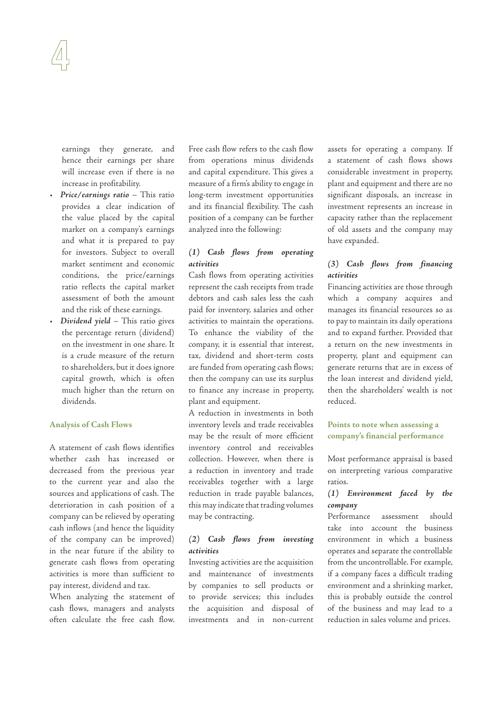earnings they generate, and hence their earnings per share will increase even if there is no increase in profitability.

- **Price/earnings ratio** This ratio provides a clear indication of the value placed by the capital market on a company's earnings and what it is prepared to pay for investors. Subject to overall market sentiment and economic conditions, the price/earnings ratio reflects the capital market assessment of both the amount and the risk of these earnings.
- **Dividend yield** This ratio gives the percentage return (dividend) on the investment in one share. It is a crude measure of the return to shareholders, but it does ignore capital growth, which is often much higher than the return on dividends.

## **Analysis of Cash Flows**

A statement of cash flows identifies whether cash has increased or decreased from the previous year to the current year and also the sources and applications of cash. The deterioration in cash position of a company can be relieved by operating cash inflows (and hence the liquidity of the company can be improved) in the near future if the ability to generate cash flows from operating activities is more than sufficient to pay interest, dividend and tax.

When analyzing the statement of cash flows, managers and analysts often calculate the free cash flow.

Free cash flow refers to the cash flow from operations minus dividends and capital expenditure. This gives a measure of a firm's ability to engage in long-term investment opportunities and its financial flexibility. The cash position of a company can be further analyzed into the following:

# **(1) Cash flows from operating activities**

Cash flows from operating activities represent the cash receipts from trade debtors and cash sales less the cash paid for inventory, salaries and other activities to maintain the operations. To enhance the viability of the company, it is essential that interest, tax, dividend and short-term costs are funded from operating cash flows; then the company can use its surplus to finance any increase in property, plant and equipment.

A reduction in investments in both inventory levels and trade receivables may be the result of more efficient inventory control and receivables collection. However, when there is a reduction in inventory and trade receivables together with a large reduction in trade payable balances, this may indicate that trading volumes may be contracting.

# **(2) Cash flows from investing activities**

Investing activities are the acquisition and maintenance of investments by companies to sell products or to provide services; this includes the acquisition and disposal of investments and in non-current

assets for operating a company. If a statement of cash flows shows considerable investment in property, plant and equipment and there are no significant disposals, an increase in investment represents an increase in capacity rather than the replacement of old assets and the company may have expanded.

# **(3) Cash flows from financing activities**

Financing activities are those through which a company acquires and manages its financial resources so as to pay to maintain its daily operations and to expand further. Provided that a return on the new investments in property, plant and equipment can generate returns that are in excess of the loan interest and dividend yield, then the shareholders' wealth is not reduced.

# **Points to note when assessing a company's financial performance**

Most performance appraisal is based on interpreting various comparative ratios.

## **(1) Environment faced by the company**

Performance assessment should take into account the business environment in which a business operates and separate the controllable from the uncontrollable. For example, if a company faces a difficult trading environment and a shrinking market, this is probably outside the control of the business and may lead to a reduction in sales volume and prices.